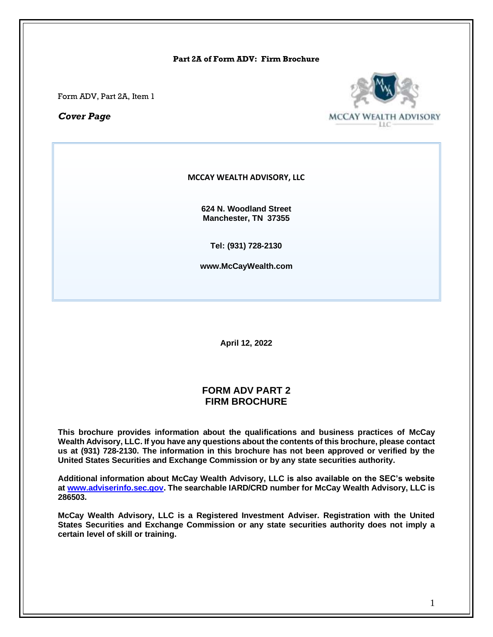#### **Part 2A of Form ADV: Firm Brochure**

Form ADV, Part 2A, Item 1

*Cover Page*



#### **MCCAY WEALTH ADVISORY, LLC**

**624 N. Woodland Street Manchester, TN 37355**

**Tel: (931) 728-2130**

**www.McCayWealth.com**

**April 12, 2022**

### **FORM ADV PART 2 FIRM BROCHURE**

**This brochure provides information about the qualifications and business practices of McCay Wealth Advisory, LLC. If you have any questions about the contents of this brochure, please contact us at (931) 728-2130. The information in this brochure has not been approved or verified by the United States Securities and Exchange Commission or by any state securities authority.**

**Additional information about McCay Wealth Advisory, LLC is also available on the SEC's website at [www.adviserinfo.sec.gov.](http://www.adviserinfo.sec.gov/) The searchable IARD/CRD number for McCay Wealth Advisory, LLC is 286503.**

**McCay Wealth Advisory, LLC is a Registered Investment Adviser. Registration with the United States Securities and Exchange Commission or any state securities authority does not imply a certain level of skill or training.**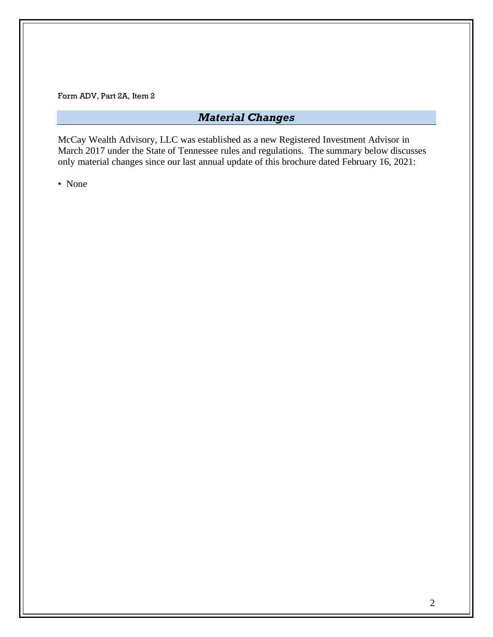# *Material Changes*

McCay Wealth Advisory, LLC was established as a new Registered Investment Advisor in March 2017 under the State of Tennessee rules and regulations. The summary below discusses only material changes since our last annual update of this brochure dated February 16, 2021:

• None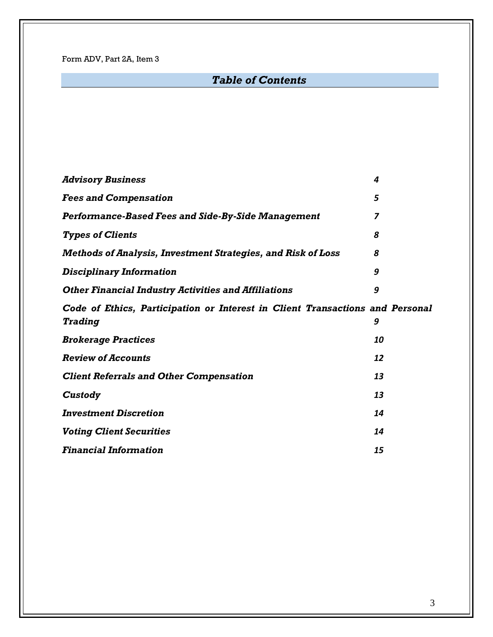# *Table of Contents*

| <b>Advisory Business</b>                                                                        | 4  |
|-------------------------------------------------------------------------------------------------|----|
| <b>Fees and Compensation</b>                                                                    | 5  |
| <b>Performance-Based Fees and Side-By-Side Management</b>                                       | 7  |
| <b>Types of Clients</b>                                                                         | 8  |
| <b>Methods of Analysis, Investment Strategies, and Risk of Loss</b>                             | 8  |
| <b>Disciplinary Information</b>                                                                 | 9  |
| <b>Other Financial Industry Activities and Affiliations</b>                                     | 9  |
| Code of Ethics, Participation or Interest in Client Transactions and Personal<br><b>Trading</b> | 9  |
| <b>Brokerage Practices</b>                                                                      | 10 |
| <b>Review of Accounts</b>                                                                       | 12 |
| <b>Client Referrals and Other Compensation</b>                                                  | 13 |
| Custody                                                                                         | 13 |
| <b>Investment Discretion</b>                                                                    | 14 |
| <b>Voting Client Securities</b>                                                                 | 14 |
| <b>Financial Information</b>                                                                    | 15 |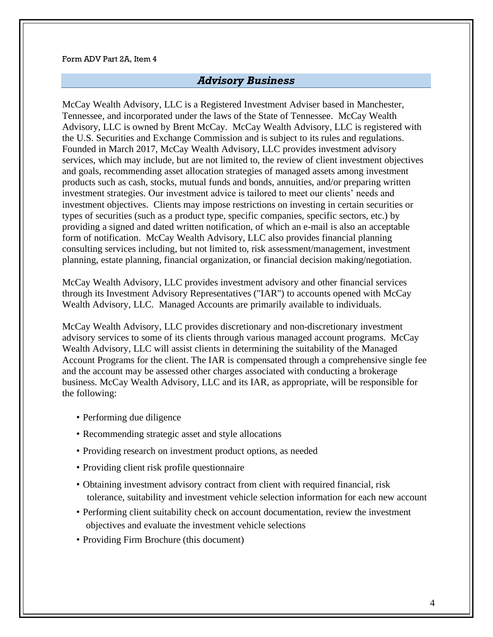### *Advisory Business*

<span id="page-3-0"></span>McCay Wealth Advisory, LLC is a Registered Investment Adviser based in Manchester, Tennessee, and incorporated under the laws of the State of Tennessee. McCay Wealth Advisory, LLC is owned by Brent McCay. McCay Wealth Advisory, LLC is registered with the U.S. Securities and Exchange Commission and is subject to its rules and regulations. Founded in March 2017, McCay Wealth Advisory, LLC provides investment advisory services, which may include, but are not limited to, the review of client investment objectives and goals, recommending asset allocation strategies of managed assets among investment products such as cash, stocks, mutual funds and bonds, annuities, and/or preparing written investment strategies. Our investment advice is tailored to meet our clients' needs and investment objectives. Clients may impose restrictions on investing in certain securities or types of securities (such as a product type, specific companies, specific sectors, etc.) by providing a signed and dated written notification, of which an e-mail is also an acceptable form of notification. McCay Wealth Advisory, LLC also provides financial planning consulting services including, but not limited to, risk assessment/management, investment planning, estate planning, financial organization, or financial decision making/negotiation.

McCay Wealth Advisory, LLC provides investment advisory and other financial services through its Investment Advisory Representatives ("IAR") to accounts opened with McCay Wealth Advisory, LLC. Managed Accounts are primarily available to individuals.

McCay Wealth Advisory, LLC provides discretionary and non-discretionary investment advisory services to some of its clients through various managed account programs. McCay Wealth Advisory, LLC will assist clients in determining the suitability of the Managed Account Programs for the client. The IAR is compensated through a comprehensive single fee and the account may be assessed other charges associated with conducting a brokerage business. McCay Wealth Advisory, LLC and its IAR, as appropriate, will be responsible for the following:

- Performing due diligence
- Recommending strategic asset and style allocations
- Providing research on investment product options, as needed
- Providing client risk profile questionnaire
- Obtaining investment advisory contract from client with required financial, risk tolerance, suitability and investment vehicle selection information for each new account
- Performing client suitability check on account documentation, review the investment objectives and evaluate the investment vehicle selections
- Providing Firm Brochure (this document)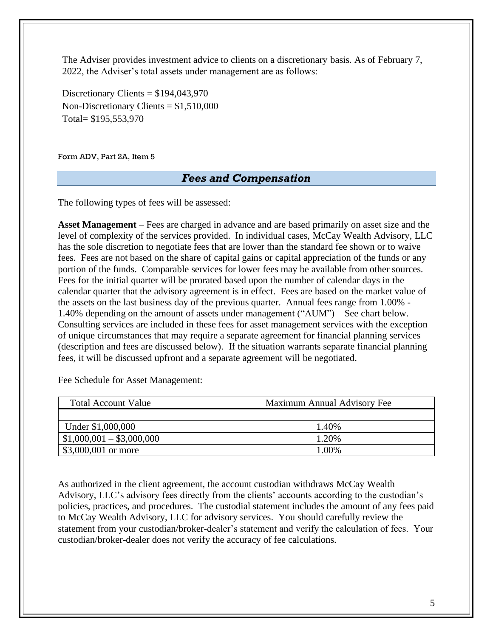The Adviser provides investment advice to clients on a discretionary basis. As of February 7, 2022, the Adviser's total assets under management are as follows:

Discretionary Clients = \$194,043,970 Non-Discretionary Clients = \$1,510,000 Total= \$195,553,970

<span id="page-4-0"></span>Form ADV, Part 2A, Item 5

### *Fees and Compensation*

The following types of fees will be assessed:

**Asset Management** – Fees are charged in advance and are based primarily on asset size and the level of complexity of the services provided. In individual cases, McCay Wealth Advisory, LLC has the sole discretion to negotiate fees that are lower than the standard fee shown or to waive fees. Fees are not based on the share of capital gains or capital appreciation of the funds or any portion of the funds. Comparable services for lower fees may be available from other sources. Fees for the initial quarter will be prorated based upon the number of calendar days in the calendar quarter that the advisory agreement is in effect. Fees are based on the market value of the assets on the last business day of the previous quarter. Annual fees range from 1.00% - 1.40% depending on the amount of assets under management ("AUM") – See chart below. Consulting services are included in these fees for asset management services with the exception of unique circumstances that may require a separate agreement for financial planning services (description and fees are discussed below). If the situation warrants separate financial planning fees, it will be discussed upfront and a separate agreement will be negotiated.

Fee Schedule for Asset Management:

| <b>Total Account Value</b> | Maximum Annual Advisory Fee |
|----------------------------|-----------------------------|
|                            |                             |
| Under \$1,000,000          | 1.40%                       |
| $$1,000,001 - $3,000,000$  | 1.20%                       |
| \$3,000,001 or more        | 1.00%                       |

As authorized in the client agreement, the account custodian withdraws McCay Wealth Advisory, LLC's advisory fees directly from the clients' accounts according to the custodian's policies, practices, and procedures. The custodial statement includes the amount of any fees paid to McCay Wealth Advisory, LLC for advisory services. You should carefully review the statement from your custodian/broker-dealer's statement and verify the calculation of fees. Your custodian/broker-dealer does not verify the accuracy of fee calculations.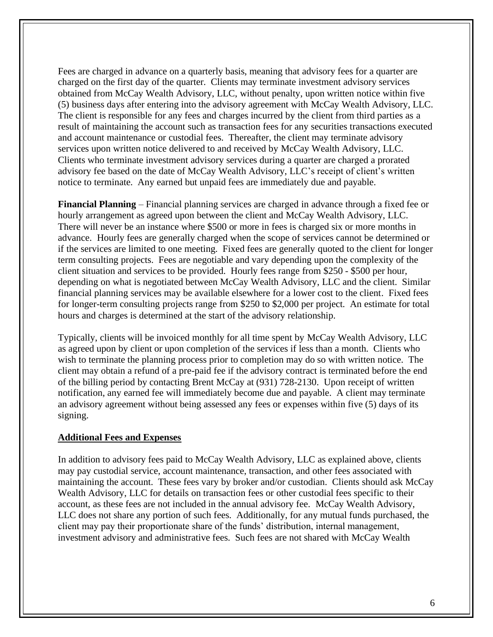Fees are charged in advance on a quarterly basis, meaning that advisory fees for a quarter are charged on the first day of the quarter. Clients may terminate investment advisory services obtained from McCay Wealth Advisory, LLC, without penalty, upon written notice within five (5) business days after entering into the advisory agreement with McCay Wealth Advisory, LLC. The client is responsible for any fees and charges incurred by the client from third parties as a result of maintaining the account such as transaction fees for any securities transactions executed and account maintenance or custodial fees. Thereafter, the client may terminate advisory services upon written notice delivered to and received by McCay Wealth Advisory, LLC. Clients who terminate investment advisory services during a quarter are charged a prorated advisory fee based on the date of McCay Wealth Advisory, LLC's receipt of client's written notice to terminate. Any earned but unpaid fees are immediately due and payable.

**Financial Planning** – Financial planning services are charged in advance through a fixed fee or hourly arrangement as agreed upon between the client and McCay Wealth Advisory, LLC. There will never be an instance where \$500 or more in fees is charged six or more months in advance. Hourly fees are generally charged when the scope of services cannot be determined or if the services are limited to one meeting. Fixed fees are generally quoted to the client for longer term consulting projects. Fees are negotiable and vary depending upon the complexity of the client situation and services to be provided. Hourly fees range from \$250 - \$500 per hour, depending on what is negotiated between McCay Wealth Advisory, LLC and the client. Similar financial planning services may be available elsewhere for a lower cost to the client. Fixed fees for longer-term consulting projects range from \$250 to \$2,000 per project. An estimate for total hours and charges is determined at the start of the advisory relationship.

Typically, clients will be invoiced monthly for all time spent by McCay Wealth Advisory, LLC as agreed upon by client or upon completion of the services if less than a month. Clients who wish to terminate the planning process prior to completion may do so with written notice. The client may obtain a refund of a pre-paid fee if the advisory contract is terminated before the end of the billing period by contacting Brent McCay at (931) 728-2130. Upon receipt of written notification, any earned fee will immediately become due and payable. A client may terminate an advisory agreement without being assessed any fees or expenses within five (5) days of its signing.

#### **Additional Fees and Expenses**

In addition to advisory fees paid to McCay Wealth Advisory, LLC as explained above, clients may pay custodial service, account maintenance, transaction, and other fees associated with maintaining the account. These fees vary by broker and/or custodian. Clients should ask McCay Wealth Advisory, LLC for details on transaction fees or other custodial fees specific to their account, as these fees are not included in the annual advisory fee. McCay Wealth Advisory, LLC does not share any portion of such fees. Additionally, for any mutual funds purchased, the client may pay their proportionate share of the funds' distribution, internal management, investment advisory and administrative fees. Such fees are not shared with McCay Wealth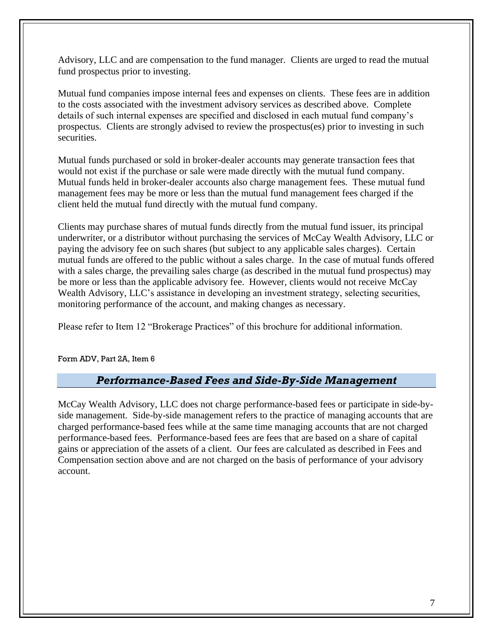Advisory, LLC and are compensation to the fund manager. Clients are urged to read the mutual fund prospectus prior to investing.

Mutual fund companies impose internal fees and expenses on clients. These fees are in addition to the costs associated with the investment advisory services as described above. Complete details of such internal expenses are specified and disclosed in each mutual fund company's prospectus. Clients are strongly advised to review the prospectus(es) prior to investing in such securities.

Mutual funds purchased or sold in broker-dealer accounts may generate transaction fees that would not exist if the purchase or sale were made directly with the mutual fund company. Mutual funds held in broker-dealer accounts also charge management fees. These mutual fund management fees may be more or less than the mutual fund management fees charged if the client held the mutual fund directly with the mutual fund company.

Clients may purchase shares of mutual funds directly from the mutual fund issuer, its principal underwriter, or a distributor without purchasing the services of McCay Wealth Advisory, LLC or paying the advisory fee on such shares (but subject to any applicable sales charges). Certain mutual funds are offered to the public without a sales charge. In the case of mutual funds offered with a sales charge, the prevailing sales charge (as described in the mutual fund prospectus) may be more or less than the applicable advisory fee. However, clients would not receive McCay Wealth Advisory, LLC's assistance in developing an investment strategy, selecting securities, monitoring performance of the account, and making changes as necessary.

Please refer to Item 12 "Brokerage Practices" of this brochure for additional information.

<span id="page-6-0"></span>Form ADV, Part 2A, Item 6

## *Performance-Based Fees and Side-By-Side Management*

McCay Wealth Advisory, LLC does not charge performance-based fees or participate in side-byside management. Side-by-side management refers to the practice of managing accounts that are charged performance-based fees while at the same time managing accounts that are not charged performance-based fees. Performance-based fees are fees that are based on a share of capital gains or appreciation of the assets of a client. Our fees are calculated as described in Fees and Compensation section above and are not charged on the basis of performance of your advisory account.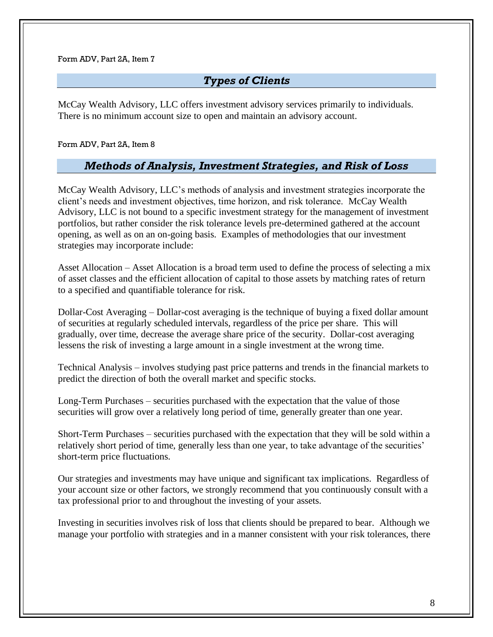## *Types of Clients*

<span id="page-7-0"></span>McCay Wealth Advisory, LLC offers investment advisory services primarily to individuals. There is no minimum account size to open and maintain an advisory account.

<span id="page-7-1"></span>Form ADV, Part 2A, Item 8

## *Methods of Analysis, Investment Strategies, and Risk of Loss*

McCay Wealth Advisory, LLC's methods of analysis and investment strategies incorporate the client's needs and investment objectives, time horizon, and risk tolerance. McCay Wealth Advisory, LLC is not bound to a specific investment strategy for the management of investment portfolios, but rather consider the risk tolerance levels pre-determined gathered at the account opening, as well as on an on-going basis. Examples of methodologies that our investment strategies may incorporate include:

Asset Allocation – Asset Allocation is a broad term used to define the process of selecting a mix of asset classes and the efficient allocation of capital to those assets by matching rates of return to a specified and quantifiable tolerance for risk.

Dollar-Cost Averaging – Dollar-cost averaging is the technique of buying a fixed dollar amount of securities at regularly scheduled intervals, regardless of the price per share. This will gradually, over time, decrease the average share price of the security. Dollar-cost averaging lessens the risk of investing a large amount in a single investment at the wrong time.

Technical Analysis – involves studying past price patterns and trends in the financial markets to predict the direction of both the overall market and specific stocks.

Long-Term Purchases – securities purchased with the expectation that the value of those securities will grow over a relatively long period of time, generally greater than one year.

Short-Term Purchases – securities purchased with the expectation that they will be sold within a relatively short period of time, generally less than one year, to take advantage of the securities' short-term price fluctuations.

Our strategies and investments may have unique and significant tax implications. Regardless of your account size or other factors, we strongly recommend that you continuously consult with a tax professional prior to and throughout the investing of your assets.

Investing in securities involves risk of loss that clients should be prepared to bear. Although we manage your portfolio with strategies and in a manner consistent with your risk tolerances, there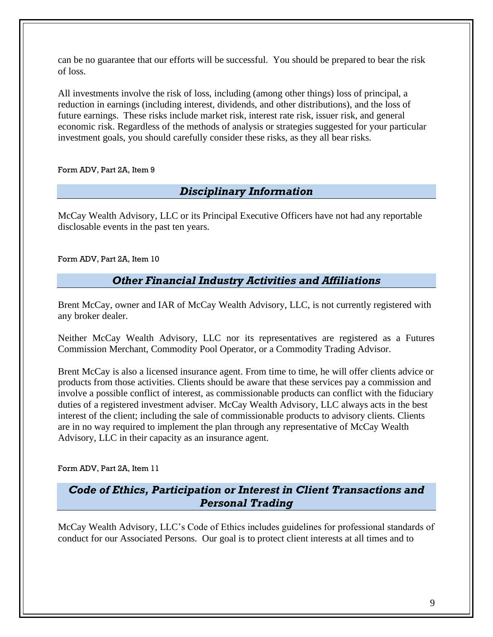can be no guarantee that our efforts will be successful. You should be prepared to bear the risk of loss.

All investments involve the risk of loss, including (among other things) loss of principal, a reduction in earnings (including interest, dividends, and other distributions), and the loss of future earnings. These risks include market risk, interest rate risk, issuer risk, and general economic risk. Regardless of the methods of analysis or strategies suggested for your particular investment goals, you should carefully consider these risks, as they all bear risks.

<span id="page-8-0"></span>Form ADV, Part 2A, Item 9

# *Disciplinary Information*

McCay Wealth Advisory, LLC or its Principal Executive Officers have not had any reportable disclosable events in the past ten years.

<span id="page-8-1"></span>Form ADV, Part 2A, Item 10

# *Other Financial Industry Activities and Affiliations*

Brent McCay, owner and IAR of McCay Wealth Advisory, LLC, is not currently registered with any broker dealer.

Neither McCay Wealth Advisory, LLC nor its representatives are registered as a Futures Commission Merchant, Commodity Pool Operator, or a Commodity Trading Advisor.

Brent McCay is also a licensed insurance agent. From time to time, he will offer clients advice or products from those activities. Clients should be aware that these services pay a commission and involve a possible conflict of interest, as commissionable products can conflict with the fiduciary duties of a registered investment adviser. McCay Wealth Advisory, LLC always acts in the best interest of the client; including the sale of commissionable products to advisory clients. Clients are in no way required to implement the plan through any representative of McCay Wealth Advisory, LLC in their capacity as an insurance agent.

<span id="page-8-2"></span>Form ADV, Part 2A, Item 11

*Code of Ethics, Participation or Interest in Client Transactions and Personal Trading*

McCay Wealth Advisory, LLC's Code of Ethics includes guidelines for professional standards of conduct for our Associated Persons. Our goal is to protect client interests at all times and to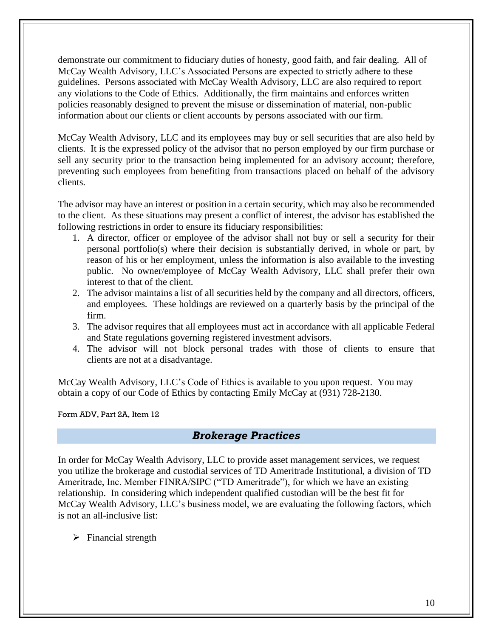demonstrate our commitment to fiduciary duties of honesty, good faith, and fair dealing. All of McCay Wealth Advisory, LLC's Associated Persons are expected to strictly adhere to these guidelines. Persons associated with McCay Wealth Advisory, LLC are also required to report any violations to the Code of Ethics. Additionally, the firm maintains and enforces written policies reasonably designed to prevent the misuse or dissemination of material, non-public information about our clients or client accounts by persons associated with our firm.

McCay Wealth Advisory, LLC and its employees may buy or sell securities that are also held by clients. It is the expressed policy of the advisor that no person employed by our firm purchase or sell any security prior to the transaction being implemented for an advisory account; therefore, preventing such employees from benefiting from transactions placed on behalf of the advisory clients.

The advisor may have an interest or position in a certain security, which may also be recommended to the client. As these situations may present a conflict of interest, the advisor has established the following restrictions in order to ensure its fiduciary responsibilities:

- 1. A director, officer or employee of the advisor shall not buy or sell a security for their personal portfolio(s) where their decision is substantially derived, in whole or part, by reason of his or her employment, unless the information is also available to the investing public. No owner/employee of McCay Wealth Advisory, LLC shall prefer their own interest to that of the client.
- 2. The advisor maintains a list of all securities held by the company and all directors, officers, and employees. These holdings are reviewed on a quarterly basis by the principal of the firm.
- 3. The advisor requires that all employees must act in accordance with all applicable Federal and State regulations governing registered investment advisors.
- 4. The advisor will not block personal trades with those of clients to ensure that clients are not at a disadvantage.

McCay Wealth Advisory, LLC's Code of Ethics is available to you upon request. You may obtain a copy of our Code of Ethics by contacting Emily McCay at (931) 728-2130.

<span id="page-9-0"></span>Form ADV, Part 2A, Item 12

## *Brokerage Practices*

In order for McCay Wealth Advisory, LLC to provide asset management services, we request you utilize the brokerage and custodial services of TD Ameritrade Institutional, a division of TD Ameritrade, Inc. Member FINRA/SIPC ("TD Ameritrade"), for which we have an existing relationship. In considering which independent qualified custodian will be the best fit for McCay Wealth Advisory, LLC's business model, we are evaluating the following factors, which is not an all-inclusive list:

 $\triangleright$  Financial strength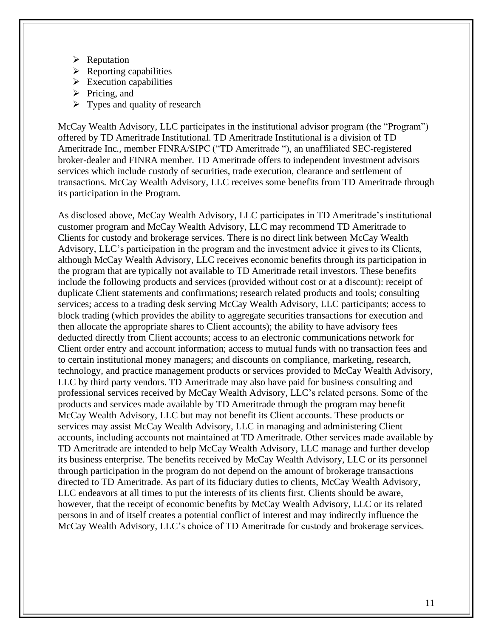- ➢ Reputation
- $\triangleright$  Reporting capabilities
- $\triangleright$  Execution capabilities
- $\triangleright$  Pricing, and
- $\triangleright$  Types and quality of research

McCay Wealth Advisory, LLC participates in the institutional advisor program (the "Program") offered by TD Ameritrade Institutional. TD Ameritrade Institutional is a division of TD Ameritrade Inc., member FINRA/SIPC ("TD Ameritrade "), an unaffiliated SEC-registered broker-dealer and FINRA member. TD Ameritrade offers to independent investment advisors services which include custody of securities, trade execution, clearance and settlement of transactions. McCay Wealth Advisory, LLC receives some benefits from TD Ameritrade through its participation in the Program.

As disclosed above, McCay Wealth Advisory, LLC participates in TD Ameritrade's institutional customer program and McCay Wealth Advisory, LLC may recommend TD Ameritrade to Clients for custody and brokerage services. There is no direct link between McCay Wealth Advisory, LLC's participation in the program and the investment advice it gives to its Clients, although McCay Wealth Advisory, LLC receives economic benefits through its participation in the program that are typically not available to TD Ameritrade retail investors. These benefits include the following products and services (provided without cost or at a discount): receipt of duplicate Client statements and confirmations; research related products and tools; consulting services; access to a trading desk serving McCay Wealth Advisory, LLC participants; access to block trading (which provides the ability to aggregate securities transactions for execution and then allocate the appropriate shares to Client accounts); the ability to have advisory fees deducted directly from Client accounts; access to an electronic communications network for Client order entry and account information; access to mutual funds with no transaction fees and to certain institutional money managers; and discounts on compliance, marketing, research, technology, and practice management products or services provided to McCay Wealth Advisory, LLC by third party vendors. TD Ameritrade may also have paid for business consulting and professional services received by McCay Wealth Advisory, LLC's related persons. Some of the products and services made available by TD Ameritrade through the program may benefit McCay Wealth Advisory, LLC but may not benefit its Client accounts. These products or services may assist McCay Wealth Advisory, LLC in managing and administering Client accounts, including accounts not maintained at TD Ameritrade. Other services made available by TD Ameritrade are intended to help McCay Wealth Advisory, LLC manage and further develop its business enterprise. The benefits received by McCay Wealth Advisory, LLC or its personnel through participation in the program do not depend on the amount of brokerage transactions directed to TD Ameritrade. As part of its fiduciary duties to clients, McCay Wealth Advisory, LLC endeavors at all times to put the interests of its clients first. Clients should be aware, however, that the receipt of economic benefits by McCay Wealth Advisory, LLC or its related persons in and of itself creates a potential conflict of interest and may indirectly influence the McCay Wealth Advisory, LLC's choice of TD Ameritrade for custody and brokerage services.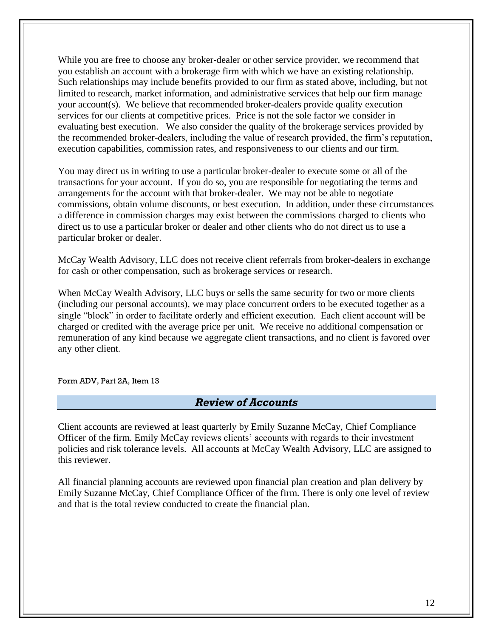While you are free to choose any broker-dealer or other service provider, we recommend that you establish an account with a brokerage firm with which we have an existing relationship. Such relationships may include benefits provided to our firm as stated above, including, but not limited to research, market information, and administrative services that help our firm manage your account(s). We believe that recommended broker-dealers provide quality execution services for our clients at competitive prices. Price is not the sole factor we consider in evaluating best execution. We also consider the quality of the brokerage services provided by the recommended broker-dealers, including the value of research provided, the firm's reputation, execution capabilities, commission rates, and responsiveness to our clients and our firm.

You may direct us in writing to use a particular broker-dealer to execute some or all of the transactions for your account. If you do so, you are responsible for negotiating the terms and arrangements for the account with that broker-dealer. We may not be able to negotiate commissions, obtain volume discounts, or best execution. In addition, under these circumstances a difference in commission charges may exist between the commissions charged to clients who direct us to use a particular broker or dealer and other clients who do not direct us to use a particular broker or dealer.

McCay Wealth Advisory, LLC does not receive client referrals from broker-dealers in exchange for cash or other compensation, such as brokerage services or research.

When McCay Wealth Advisory, LLC buys or sells the same security for two or more clients (including our personal accounts), we may place concurrent orders to be executed together as a single "block" in order to facilitate orderly and efficient execution. Each client account will be charged or credited with the average price per unit. We receive no additional compensation or remuneration of any kind because we aggregate client transactions, and no client is favored over any other client.

<span id="page-11-0"></span>Form ADV, Part 2A, Item 13

### *Review of Accounts*

Client accounts are reviewed at least quarterly by Emily Suzanne McCay, Chief Compliance Officer of the firm. Emily McCay reviews clients' accounts with regards to their investment policies and risk tolerance levels. All accounts at McCay Wealth Advisory, LLC are assigned to this reviewer.

All financial planning accounts are reviewed upon financial plan creation and plan delivery by Emily Suzanne McCay, Chief Compliance Officer of the firm. There is only one level of review and that is the total review conducted to create the financial plan.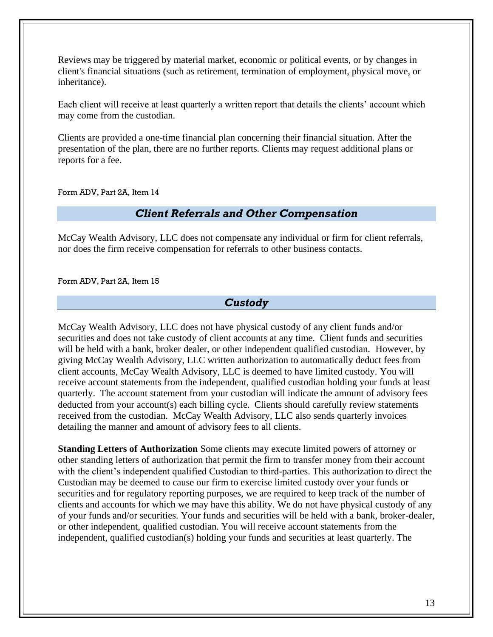Reviews may be triggered by material market, economic or political events, or by changes in client's financial situations (such as retirement, termination of employment, physical move, or inheritance).

Each client will receive at least quarterly a written report that details the clients' account which may come from the custodian.

Clients are provided a one-time financial plan concerning their financial situation. After the presentation of the plan, there are no further reports. Clients may request additional plans or reports for a fee.

<span id="page-12-0"></span>Form ADV, Part 2A, Item 14

### *Client Referrals and Other Compensation*

McCay Wealth Advisory, LLC does not compensate any individual or firm for client referrals, nor does the firm receive compensation for referrals to other business contacts.

<span id="page-12-1"></span>Form ADV, Part 2A, Item 15

### *Custody*

McCay Wealth Advisory, LLC does not have physical custody of any client funds and/or securities and does not take custody of client accounts at any time. Client funds and securities will be held with a bank, broker dealer, or other independent qualified custodian. However, by giving McCay Wealth Advisory, LLC written authorization to automatically deduct fees from client accounts, McCay Wealth Advisory, LLC is deemed to have limited custody. You will receive account statements from the independent, qualified custodian holding your funds at least quarterly. The account statement from your custodian will indicate the amount of advisory fees deducted from your account(s) each billing cycle. Clients should carefully review statements received from the custodian. McCay Wealth Advisory, LLC also sends quarterly invoices detailing the manner and amount of advisory fees to all clients.

**Standing Letters of Authorization** Some clients may execute limited powers of attorney or other standing letters of authorization that permit the firm to transfer money from their account with the client's independent qualified Custodian to third-parties. This authorization to direct the Custodian may be deemed to cause our firm to exercise limited custody over your funds or securities and for regulatory reporting purposes, we are required to keep track of the number of clients and accounts for which we may have this ability. We do not have physical custody of any of your funds and/or securities. Your funds and securities will be held with a bank, broker-dealer, or other independent, qualified custodian. You will receive account statements from the independent, qualified custodian(s) holding your funds and securities at least quarterly. The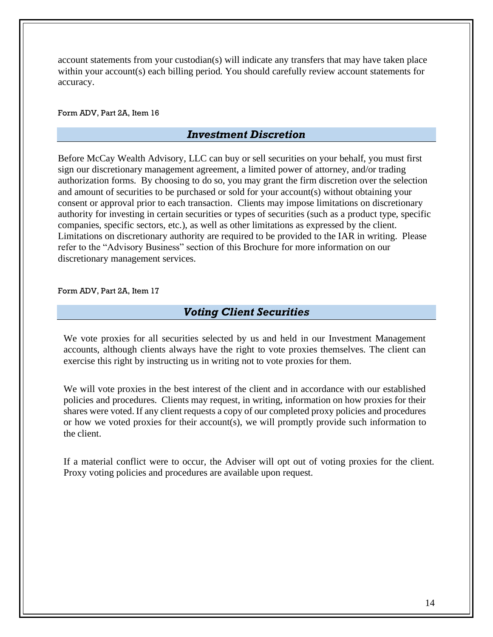account statements from your custodian(s) will indicate any transfers that may have taken place within your account(s) each billing period. You should carefully review account statements for accuracy.

<span id="page-13-0"></span>Form ADV, Part 2A, Item 16

### *Investment Discretion*

Before McCay Wealth Advisory, LLC can buy or sell securities on your behalf, you must first sign our discretionary management agreement, a limited power of attorney, and/or trading authorization forms. By choosing to do so, you may grant the firm discretion over the selection and amount of securities to be purchased or sold for your account(s) without obtaining your consent or approval prior to each transaction. Clients may impose limitations on discretionary authority for investing in certain securities or types of securities (such as a product type, specific companies, specific sectors, etc.), as well as other limitations as expressed by the client. Limitations on discretionary authority are required to be provided to the IAR in writing. Please refer to the "Advisory Business" section of this Brochure for more information on our discretionary management services.

#### <span id="page-13-1"></span>Form ADV, Part 2A, Item 17

## *Voting Client Securities*

We vote proxies for all securities selected by us and held in our Investment Management accounts, although clients always have the right to vote proxies themselves. The client can exercise this right by instructing us in writing not to vote proxies for them.

We will vote proxies in the best interest of the client and in accordance with our established policies and procedures. Clients may request, in writing, information on how proxies for their shares were voted. If any client requests a copy of our completed proxy policies and procedures or how we voted proxies for their account(s), we will promptly provide such information to the client.

If a material conflict were to occur, the Adviser will opt out of voting proxies for the client. Proxy voting policies and procedures are available upon request.